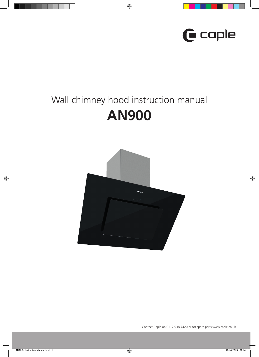

# Wall chimney hood instruction manual **AN900**

 $\bigcirc$ 



Contact Caple on 0117 938 7420 or for spare parts www.caple.co.uk

 $\bigoplus$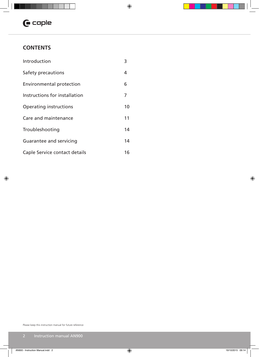# $\mathbf \Theta$  caple

# **CONTENTS**

 $\bigoplus$ 

| Introduction                    | 3  |
|---------------------------------|----|
| Safety precautions              | 4  |
| <b>Environmental protection</b> | 6  |
| Instructions for installation   | 7  |
| <b>Operating instructions</b>   | 10 |
| Care and maintenance            | 11 |
| Troubleshooting                 | 14 |
| Guarantee and servicing         | 14 |
| Caple Service contact details   | 16 |

Please keep this instruction manual for future reference

 $\bigoplus$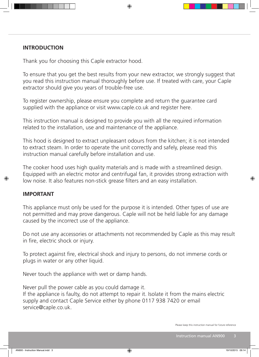## **INTRODUCTION**

Thank you for choosing this Caple extractor hood.

To ensure that you get the best results from your new extractor, we strongly suggest that you read this instruction manual thoroughly before use. If treated with care, your Caple extractor should give you years of trouble-free use.

◈

To register ownership, please ensure you complete and return the guarantee card supplied with the appliance or visit www.caple.co.uk and register here.

This instruction manual is designed to provide you with all the required information related to the installation, use and maintenance of the appliance.

This hood is designed to extract unpleasant odours from the kitchen; it is not intended to extract steam. In order to operate the unit correctly and safely, please read this instruction manual carefully before installation and use.

The cooker hood uses high quality materials and is made with a streamlined design. Equipped with an electric motor and centrifugal fan, it provides strong extraction with low noise. It also features non-stick grease filters and an easy installation.

### **IMPORTANT**

This appliance must only be used for the purpose it is intended. Other types of use are not permitted and may prove dangerous. Caple will not be held liable for any damage caused by the incorrect use of the appliance.

Do not use any accessories or attachments not recommended by Caple as this may result in fire, electric shock or injury.

To protect against fire, electrical shock and injury to persons, do not immerse cords or plugs in water or any other liquid.

Never touch the appliance with wet or damp hands.

Never pull the power cable as you could damage it. If the appliance is faulty, do not attempt to repair it. Isolate it from the mains electric supply and contact Caple Service either by phone 0117 938 7420 or email service@caple.co.uk.

```
Please keep this instruction manual for future reference
```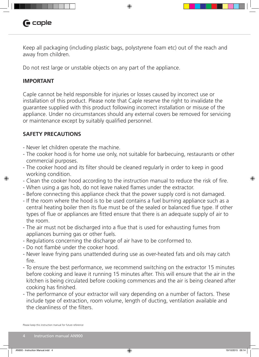# **G** caple

Keep all packaging (including plastic bags, polystyrene foam etc) out of the reach and away from children.

◈

Do not rest large or unstable objects on any part of the appliance.

## **IMPORTANT**

◈

Caple cannot be held responsible for injuries or losses caused by incorrect use or installation of this product. Please note that Caple reserve the right to invalidate the guarantee supplied with this product following incorrect installation or misuse of the appliance. Under no circumstances should any external covers be removed for servicing or maintenance except by suitably qualified personnel.

# **SAFETY PRECAUTIONS**

- Never let children operate the machine.
- The cooker hood is for home use only, not suitable for barbecuing, restaurants or other commercial purposes.
- The cooker hood and its filter should be cleaned regularly in order to keep in good working condition.
- Clean the cooker hood according to the instruction manual to reduce the risk of fire.
- When using a gas hob, do not leave naked flames under the extractor.
- Before connecting this appliance check that the power supply cord is not damaged.
- If the room where the hood is to be used contains a fuel burning appliance such as a central heating boiler then its flue must be of the sealed or balanced flue type. If other types of flue or appliances are fitted ensure that there is an adequate supply of air to the room.
- The air must not be discharged into a flue that is used for exhausting fumes from appliances burning gas or other fuels.
- Regulations concerning the discharge of air have to be conformed to.
- Do not flambé under the cooker hood.
- Never leave frying pans unattended during use as over-heated fats and oils may catch fire.
- To ensure the best performance, we recommend switching on the extractor 15 minutes before cooking and leave it running 15 minutes after. This will ensure that the air in the kitchen is being circulated before cooking commences and the air is being cleaned after cooking has finished.
- The performance of your extractor will vary depending on a number of factors. These include type of extraction, room volume, length of ducting, ventilation available and the cleanliness of the filters.

Please keep this instruction manual for future reference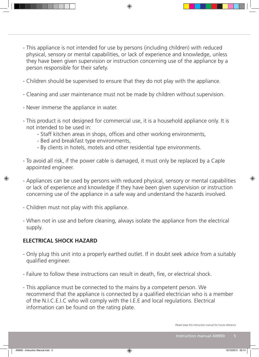- This appliance is not intended for use by persons (including children) with reduced physical, sensory or mental capabilities, or lack of experience and knowledge, unless they have been given supervision or instruction concerning use of the appliance by a person responsible for their safety.

◈

- Children should be supervised to ensure that they do not play with the appliance.
- Cleaning and user maintenance must not be made by children without supervision.
- Never immerse the appliance in water.
- This product is not designed for commercial use, it is a household appliance only. It is not intended to be used in:
	- Staff kitchen areas in shops, offices and other working environments,
	- Bed and breakfast type environments,
	- By clients in hotels, motels and other residential type environments.
- To avoid all risk, if the power cable is damaged, it must only be replaced by a Caple appointed engineer.
- Appliances can be used by persons with reduced physical, sensory or mental capabilities or lack of experience and knowledge if they have been given supervision or instruction concerning use of the appliance in a safe way and understand the hazards involved.
- Children must not play with this appliance.
- When not in use and before cleaning, always isolate the appliance from the electrical supply.

# **ELECTRICAL SHOCK HAZARD**

- Only plug this unit into a properly earthed outlet. If in doubt seek advice from a suitably qualified engineer.
- Failure to follow these instructions can result in death, fire, or electrical shock.
- This appliance must be connected to the mains by a competent person. We recommend that the appliance is connected by a qualified electrician who is a member of the N.I.C.E.I.C who will comply with the I.E.E and local regulations. Electrical information can be found on the rating plate.

◈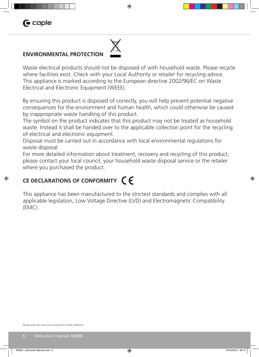# **G** caple

◈



### **ENVIRONMENTAL PROTECTION**

Waste electrical products should not be disposed of with household waste. Please recycle where facilities exist. Check with your Local Authority or retailer for recycling advice. This appliance is marked according to the European directive 2002/96/EC on Waste Electrical and Electronic Equipment (WEEE).

◈

By ensuring this product is disposed of correctly, you will help prevent potential negative consequences for the environment and human health, which could otherwise be caused by inappropriate waste handling of this product.

The symbol on the product indicates that this product may not be treated as household waste. Instead it shall be handed over to the applicable collection point for the recycling of electrical and electronic equipment.

Disposal must be carried out in accordance with local environmental regulations for waste disposal.

For more detailed information about treatment, recovery and recycling of this product, please contact your local council, your household waste disposal service or the retailer where you purchased the product.

# **CE DECLARATIONS OF CONFORMITY**

This appliance has been manufactured to the strictest standards and complies with all applicable legislation, Low Voltage Directive (LVD) and Electromagnetic Compatibility (EMC).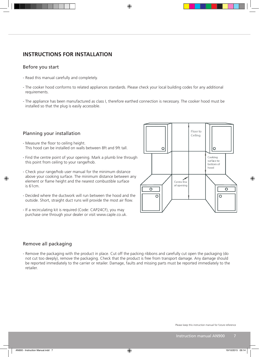### **INSTRUCTIONS FOR INSTALLATION**

### Before you start

- Read this manual carefully and completely.
- The cooker hood conforms to related appliances standards. Please check your local building codes for any additional requirements.

◈

- The appliance has been manufactured as class I, therefore earthed connection is necessary. The cooker hood must be installed so that the plug is easily accessible.

### Planning your installation

- Measure the floor to ceiling height. This hood can be installed on walls between 8ft and 9ft tall.
- Find the centre point of your opening. Mark a plumb line through this point from ceiling to your range/hob.
- Check your range/hob user manual for the minimum distance above your cooking surface. The minimum distance between any element or flame height and the nearest combustible surface is 61cm.
- Decided where the ductwork will run between the hood and the outside. Short, straight duct runs will provide the most air flow.
- If a recirculating kit is required (Code: CAP24CF), you may purchase one through your dealer or visit www.caple.co.uk.



### Remove all packaging

◈

- Remove the packaging with the product in place. Cut off the packing ribbons and carefully cut open the packaging (do not cut too deeply), remove the packaging. Check that the product is free from transport damage. Any damage should be reported immediately to the carrier or retailer. Damage, faults and missing parts must be reported immediately to the retailer.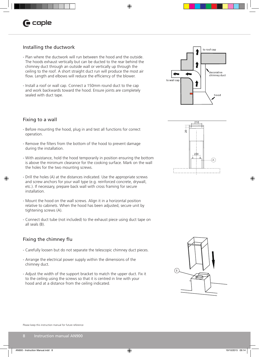# **G** caple

### Installing the ductwork

- Plan where the ductwork will run between the hood and the outside. The hoods exhaust vertically but can be ducted to the rear behind the chimney duct through an outside wall or vertically up through the ceiling to the roof. A short straight duct run will produce the most air flow. Length and elbows will reduce the efficiency of the blower.
- Install a roof or wall cap. Connect a 150mm round duct to the cap and work backwards toward the hood. Ensure joints are completely sealed with duct tape.





### Fixing to a wall

◈

- Before mounting the hood, plug in and test all functions for correct operation.
- Remove the filters from the bottom of the hood to prevent damage during the installation.
- With assistance, hold the hood temporarily in position ensuring the bottom is above the minimum clearance for the cooking surface. Mark on the wall the holes for the two mounting screws.
- Drill the holes (A) at the distances indicated. Use the appropriate screws and screw anchors for your wall type (e.g. reinforced concrete, drywall, etc.). If necessary, prepare back wall with cross framing for secure installation.
- Mount the hood on the wall screws. Align it in a horizontal position relative to cabinets. When the hood has been adjusted, secure unit by tightening screws (A).
- Connect duct tube (not included) to the exhaust piece using duct tape on all seals (B).

### Fixing the chimney flu

- Carefully loosen but do not separate the telescopic chimney duct pieces.
- Arrange the electrical power supply within the dimensions of the chimney duct.
- Adjust the width of the support bracket to match the upper duct. Fix it to the ceiling using the screws so that it is centred in line with your hood and at a distance from the ceiling indicated.



Please keep this instruction manual for future reference



⊕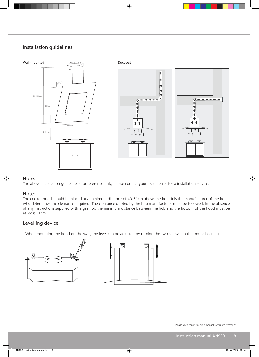### Installation guidelines



 $\bigoplus$ 

# Note: l<br>h

◈

The above installation guideline is for reference only, please contact your local dealer for a installation service.

#### Note:

The cooker hood should be placed at a minimum distance of 40-51cm above the hob. It is the manufacturer of the hob who determines the clearance required. The clearance quoted by the hob manufacturer must be followed. In the absence of any instructions supplied with a gas hob the minimum distance between the hob and the bottom of the hood must be at least 51cm. 5<br>51<br>25

### Levelling device



Please keep this instruction manual for future reference

 $\bigcirc$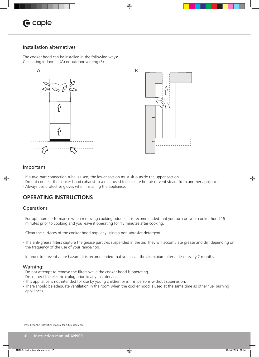# **C** caple

### Installation alternatives

The cooker hood can be installed in the following ways: Circulating indoor air (A) or outdoor venting (B)





### Important

◈

- If a two-part connection tube is used, the lower section must sit outside the upper section.
- Do not connect the cooker hood exhaust to a duct used to circulate hot air or vent steam from another appliance.

⊕

- Always use protective gloves when installing the appliance.

### **OPERATING INSTRUCTIONS**

#### **Operations**

- For optimum performance when removing cooking odours, it is recommended that you turn on your cooker hood 15 minutes prior to cooking and you leave it operating for 15 minutes after cooking.
- Clean the surfaces of the cooker hood regularly using a non-abrasive detergent.
- The anti-grease filters capture the grease particles suspended in the air. They will accumulate grease and dirt depending on the frequency of the use of your range/hob.
- In order to prevent a fire hazard, it is recommended that you clean the aluminium filter at least every 2 months

#### Warning:

- Do not attempt to remove the filters while the cooker hood is operating.
- Disconnect the electrical plug prior to any maintenance.
- This appliance is not intended for use by young children or infirm persons without supervision.
- There should be adequate ventilation in the room when the cooker hood is used at the same time as other fuel burning appliances.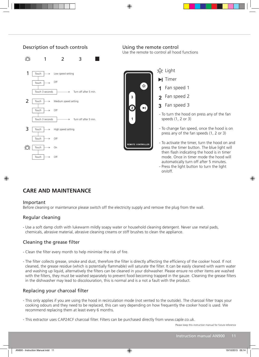

⊕

### **CARE AND MAINTENANCE**

#### Important

Before cleaning or maintenance please switch off the electricity supply and remove the plug from the wall.

### Regular cleaning

- Use a soft damp cloth with lukewarm mildly soapy water or household cleaning detergent. Never use metal pads, chemicals, abrasive material, abrasive cleaning creams or stiff brushes to clean the appliance.

### Cleaning the grease filter

- Clean the filter every month to help minimise the risk of fire.
- The filter collects grease, smoke and dust, therefore the filter is directly affecting the efficiency of the cooker hood. If not cleaned, the grease residue (which is potentially flammable) will saturate the filter. It can be easily cleaned with warm water and washing up liquid, alternatively the filters can be cleaned in your dishwasher. Please ensure no other items are washed with the filters, they must be washed separately to prevent food becoming trapped in the gauze. Cleaning the grease filters in the dishwasher may lead to discolouration, this is normal and is a not a fault with the product.

### Replacing your charcoal filter

- This only applies if you are using the hood in recirculation mode (not vented to the outside). The charcoal filter traps your cooking odours and they need to be replaced, this can vary depending on how frequently the cooker hood is used. We recommend replacing them at least every 6 months.
- This extractor uses CAP24CF charcoal filter. Filters can be purchased directly from www.caple.co.uk.

Please keep this instruction manual for future reference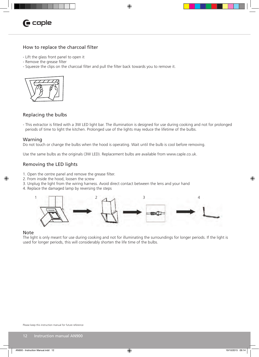

### How to replace the charcoal filter

- Lift the glass front panel to open it
- Remove the grease filter
- Squeeze the clips on the charcoal filter and pull the filter back towards you to remove it.



### Replacing the bulbs

- This extractor is fitted with a 3W LED light bar. The illumination is designed for use during cooking and not for prolonged periods of time to light the kitchen. Prolonged use of the lights may reduce the lifetime of the bulbs.

 $\bigcirc$ 

#### Warning

Do not touch or change the bulbs when the hood is operating. Wait until the bulb is cool before removing.

Use the same bulbs as the originals (3W LED). Replacement bulbs are available from www.caple.co.uk.

### Removing the LED lights

- 1. Open the centre panel and remove the grease filter.
- 2. From inside the hood, loosen the screw
- 3. Unplug the light from the wiring harness. Avoid direct contact between the lens and your hand
- 4. Replace the damaged lamp by reversing the steps



#### Note

◈

The light is only meant for use during cooking and not for illuminating the surroundings for longer periods. If the light is used for longer periods, this will considerably shorten the life time of the bulbs.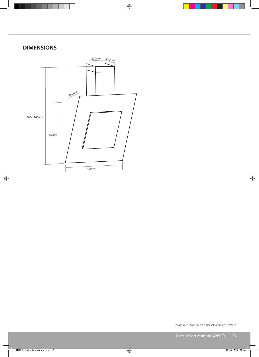# **DIMENSIONS**

 $\bigoplus$ 



Please keep this instruction manual for future reference

 $\bigoplus$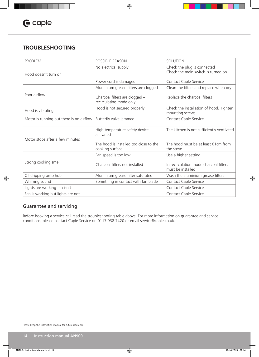# **TROUBLESHOOTING**

| <b>PROBLEM</b>                           | POSSIBLE REASON                                           | SOLUTION                                                          |
|------------------------------------------|-----------------------------------------------------------|-------------------------------------------------------------------|
| Hood doesn't turn on                     | No electrical supply                                      | Check the plug is connected<br>Check the main switch is turned on |
|                                          | Power cord is damaged                                     | Contact Caple Service                                             |
|                                          | Aluminium grease filters are clogged                      | Clean the filters and replace when dry                            |
| Poor airflow                             | Charcoal filters are clogged -<br>recirculating mode only | Replace the charcoal filters                                      |
| Hood is vibrating                        | Hood is not secured properly                              | Check the installation of hood. Tighten<br>mounting screws        |
| Motor is running but there is no airflow | Butterfly valve jammed                                    | Contact Caple Service                                             |
| Motor stops after a few minutes          | High temperature safety device<br>activated               | The kitchen is not sufficiently ventilated                        |
|                                          | The hood is installed too close to the<br>cooking surface | The hood must be at least 61cm from<br>the stove                  |
|                                          | Fan speed is too low                                      | Use a higher setting                                              |
| Strong cooking smell                     | Charcoal filters not installed                            | In recirculation mode charcoal filters<br>must be installed       |
| Oil dripping onto hob                    | Aluminium grease filter saturated                         | Wash the aluminium grease filters                                 |
| Whirring sound                           | Something in contact with fan blade                       | Contact Caple Service                                             |
| Lights are working fan isn't             |                                                           | Contact Caple Service                                             |
| Fan is working but lights are not        |                                                           | Contact Caple Service                                             |

 $\bigcirc$ 

### Guarantee and servicing

 $\bigoplus$ 

Before booking a service call read the troubleshooting table above. For more information on guarantee and service conditions, please contact Caple Service on 0117 938 7420 or email service@caple.co.uk.

Please keep this instruction manual for future reference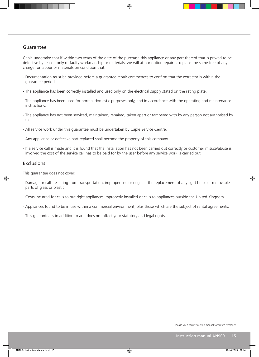### Guarantee

Caple undertake that if within two years of the date of the purchase this appliance or any part thereof that is proved to be defective by reason only of faulty workmanship or materials, we will at our option repair or replace the same free of any charge for labour or materials on condition that:

◈

- Documentation must be provided before a guarantee repair commences to confirm that the extractor is within the guarantee period.
- The appliance has been correctly installed and used only on the electrical supply stated on the rating plate.
- The appliance has been used for normal domestic purposes only, and in accordance with the operating and maintenance instructions.
- The appliance has not been serviced, maintained, repaired, taken apart or tampered with by any person not authorised by us.
- All service work under this guarantee must be undertaken by Caple Service Centre.
- Any appliance or defective part replaced shall become the property of this company.
- If a service call is made and it is found that the installation has not been carried out correctly or customer misuse/abuse is involved the cost of the service call has to be paid for by the user before any service work is carried out.

### Exclusions

◈

This guarantee does not cover:

- Damage or calls resulting from transportation, improper use or neglect, the replacement of any light bulbs or removable parts of glass or plastic.
- Costs incurred for calls to put right appliances improperly installed or calls to appliances outside the United Kingdom.
- Appliances found to be in use within a commercial environment, plus those which are the subject of rental agreements.
- This guarantee is in addition to and does not affect your statutory and legal rights.

Please keep this instruction manual for future reference